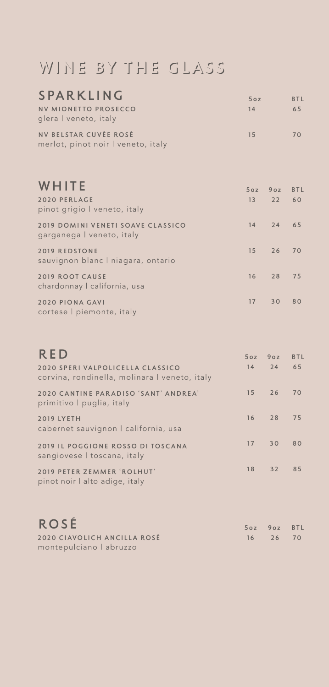# WINE BY THE GLASS

#### SPARKLING NV MIONETTO PROSECCO glera | veneto, italy 5oz 14

| NV BELSTAR CUVÉE ROSÉ              | 70 |
|------------------------------------|----|
| merlot, pinot noir I veneto, italy |    |

9oz BTL 5oz

BTL 65

 $9T1$ 

#### **WHITE**

| 2020 PERLAGE<br>pinot grigio I veneto, italy                   | 13 22 60 |  |
|----------------------------------------------------------------|----------|--|
| 2019 DOMINI VENETI SOAVE CLASSICO<br>garganega I veneto, italy | 14 24 65 |  |
| <b>2019 REDSTONE</b><br>sauvignon blanc   niagara, ontario     | 15 26 70 |  |
| <b>2019 ROOT CAUSE</b><br>chardonnay california, usa           | 16 28 75 |  |
| 2020 PIONA GAVI<br>cortese piemonte, italy                     | 17 30 80 |  |

#### RED

| <b>RED</b>                                    | 5oz 9oz BTL   |    |
|-----------------------------------------------|---------------|----|
| 2020 SPERI VALPOLICELLA CLASSICO              | 14 24 65      |    |
| corvina, rondinella, molinara I veneto, italy |               |    |
| 2020 CANTINE PARADISO 'SANT' ANDREA'          | 15 26 70      |    |
| primitivo   puglia, italy                     |               |    |
| <b>2019 LYETH</b>                             | 16 28 75      |    |
| cabernet sauvignon I california, usa          |               |    |
| 2019 IL POGGIONE ROSSO DI TOSCANA             | $17 \quad 30$ | 80 |
| sangiovese I toscana, italy                   |               |    |
| <b>2019 PETER ZEMMER 'ROLHUT'</b>             | 18 32 85      |    |
| pinot noir   alto adige, italy                |               |    |

### ROSÉ

| <b>KUSE</b>                 | 5oz 9oz BTL |  |
|-----------------------------|-------------|--|
| 2020 CIAVOLICH ANCILLA ROSÉ | 16 26 70    |  |
| montepulciano I abruzzo     |             |  |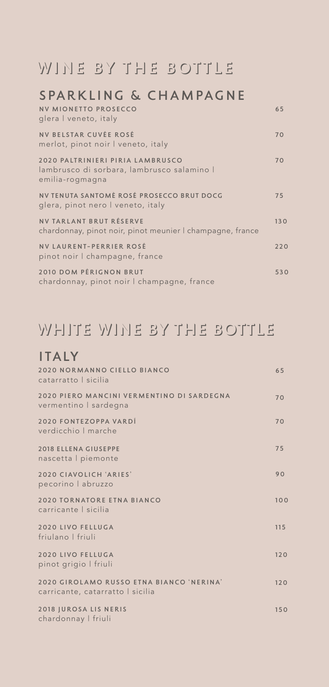## WINE BY THE BOTTLE

#### SPARKLING & CHAMPAGNE

| NV MIONETTO PROSECCO<br>glera I veneto, italy                                                     | 65  |
|---------------------------------------------------------------------------------------------------|-----|
| <b>NV BELSTAR CUVÉE ROSÉ</b><br>merlot, pinot noir I veneto, italy                                | 70  |
| 2020 PALTRINIERI PIRIA LAMBRUSCO<br>lambrusco di sorbara, lambrusco salamino l<br>emilia-rogmagna | 70  |
| NV TENUTA SANTOMÈ ROSÉ PROSECCO BRUT DOCG<br>glera, pinot nero I veneto, italy                    | 75  |
| <b>NV TARLANT BRUT RÉSERVE</b><br>chardonnay, pinot noir, pinot meunier I champagne, france       | 130 |
| <b>NV LAURENT-PERRIER ROSÉ</b><br>pinot noir I champagne, france                                  | 220 |
| <b>2010 DOM PÉRIGNON BRUT</b><br>chardonnay, pinot noir I champagne, france                       | 530 |

# WHITE WINE BY THE BOTTLE

#### ITALY

| 2020 NORMANNO CIELLO BIANCO<br>catarratto   sicilia                          | 65  |
|------------------------------------------------------------------------------|-----|
| 2020 PIERO MANCINI VERMENTINO DI SARDEGNA<br>vermentino I sardegna           | 70  |
| 2020 FONTEZOPPA VARDÍ<br>verdicchio I marche                                 | 70  |
| 2018 ELLENA GIUSEPPE<br>nascetta   piemonte                                  | 75  |
| 2020 CIAVOLICH 'ARIES'<br>pecorino abruzzo                                   | 90  |
| 2020 TORNATORE ETNA BIANCO<br>carricante   sicilia                           | 100 |
| 2020 LIVO FELLUGA<br>friulano I friuli                                       | 115 |
| 2020 LIVO FELLUGA<br>pinot grigio I friuli                                   | 120 |
| 2020 GIROLAMO RUSSO ETNA BIANCO 'NERINA'<br>carricante, catarratto I sicilia | 120 |
| 2018 JUROSA LIS NERIS<br>chardonnay   friuli                                 | 150 |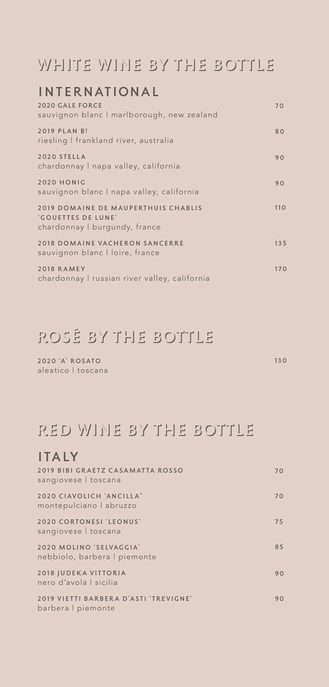# WHITE WINE BY THE BOTTLE

#### INTERNATIONAL

| <b>2020 GALE FORCE</b><br>sauvignon blanc I marlborough, new zealand                              | 70  |
|---------------------------------------------------------------------------------------------------|-----|
| 2019 PLAN B!<br>riesling I frankland river, australia                                             | 80  |
| 2020 STELLA<br>chardonnay I napa valley, california                                               | 90  |
| <b>2020 HONIG</b><br>sauvignon blanc I napa valley, california                                    | 90  |
| <b>2019 DOMAINE DE MAUPERTHUIS CHABLIS</b><br>'GOUETTES DE LUNE'<br>chardonnay I burgundy, france | 110 |
| <b>2018 DOMAINE VACHERON SANCERRE</b><br>sauvignon blanc I loire, france                          | 135 |
| <b>2018 RAMEY</b><br>chardonnay I russian river valley, california                                | 170 |

# ROSÉ BY THE BOTTLE

2020 'A' ROSATO aleatico | toscana 130

## RED WINE BY THE BOTTLE

#### ITALY

| 2019 BIBI GRAETZ CASAMATTA ROSSO<br>sangiovese   toscana    | 70 |
|-------------------------------------------------------------|----|
| 2020 CIAVOLICH 'ANCILLA"<br>montepulciano   abruzzo         | 70 |
| <b>2020 CORTONESI 'LEONUS'</b><br>sangiovese   toscana      | 75 |
| 2020 MOLINO 'SELVAGGIA'<br>nebbiolo, barbera I piemonte     | 85 |
| 2018 JUDEKA VITTORIA<br>nero d'avola i sicilia              | 90 |
| 2019 VIETTI BARBERA D'ASTI 'TREVIGNE'<br>barbera I piemonte | 90 |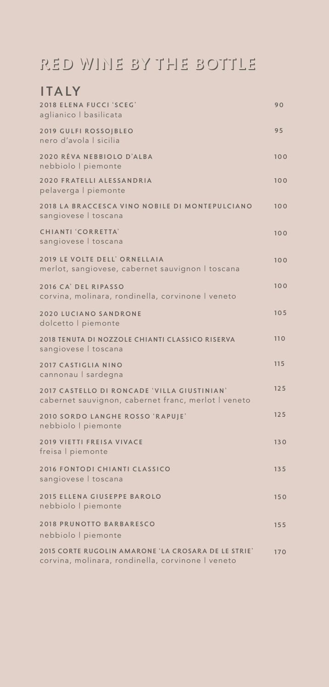# RED WINE BY THE BOTTLE

| <b>ITALY</b>                                                                                             |     |
|----------------------------------------------------------------------------------------------------------|-----|
| 2018 ELENA FUCCI 'SCEG'<br>aglianico   basilicata                                                        | 90  |
| 2019 GULFI ROSSOJBLEO<br>nero d'avola I sicilia                                                          | 95  |
| 2020 RÉVA NEBBIOLO D'ALBA<br>nebbiolo   piemonte                                                         | 100 |
| 2020 FRATELLI ALESSANDRIA<br>pelaverga   piemonte                                                        | 100 |
| 2018 LA BRACCESCA VINO NOBILE DI MONTEPULCIANO<br>sangiovese   toscana                                   | 100 |
| CHIANTI 'CORRETTA'<br>sangiovese   toscana                                                               | 100 |
| 2019 LE VOLTE DELL' ORNELLAIA<br>merlot, sangiovese, cabernet sauvignon I toscana                        | 100 |
| 2016 CA' DEL RIPASSO<br>corvina, molinara, rondinella, corvinone I veneto                                | 100 |
| 2020 LUCIANO SANDRONE<br>dolcetto I piemonte                                                             | 105 |
| 2018 TENUTA DI NOZZOLE CHIANTI CLASSICO RISERVA<br>sangiovese   toscana                                  | 110 |
| 2017 CASTIGLIA NINO<br>cannonau   sardegna                                                               | 115 |
| 2017 CASTELLO DI RONCADE 'VILLA GIUSTINIAN'<br>cabernet sauvignon, cabernet franc, merlot I veneto       | 125 |
| 2010 SORDO LANGHE ROSSO 'RAPUJE'<br>nebbiolo   piemonte                                                  | 125 |
| <b>2019 VIETTI FREISA VIVACE</b><br>freisa   piemonte                                                    | 130 |
| <b>2016 FONTODI CHIANTI CLASSICO</b><br>sangiovese I toscana                                             | 135 |
| 2015 ELLENA GIUSEPPE BAROLO<br>nebbiolo I piemonte                                                       | 150 |
| 2018 PRUNOTTO BARBARESCO<br>nebbiolo I piemonte                                                          | 155 |
| 2015 CORTE RUGOLIN AMARONE 'LA CROSARA DE LE STRIE'<br>corvina, molinara, rondinella, corvinone I veneto | 170 |